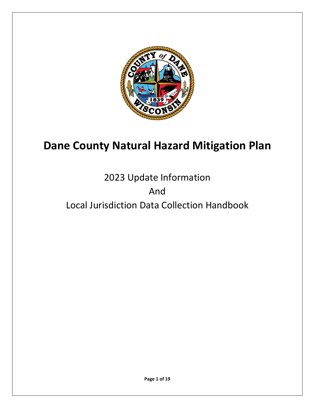

# **Dane County Natural Hazard Mitigation Plan**

# 2023 Update Information And Local Jurisdiction Data Collection Handbook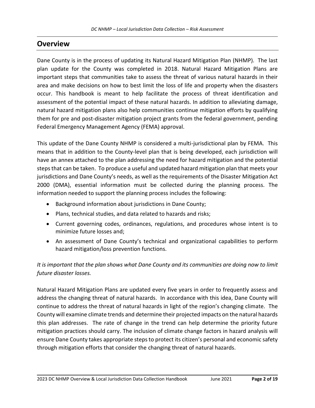## **Overview**

Dane County is in the process of updating its Natural Hazard Mitigation Plan (NHMP). The last plan update for the County was completed in 2018. Natural Hazard Mitigation Plans are important steps that communities take to assess the threat of various natural hazards in their area and make decisions on how to best limit the loss of life and property when the disasters occur. This handbook is meant to help facilitate the process of threat identification and assessment of the potential impact of these natural hazards. In addition to alleviating damage, natural hazard mitigation plans also help communities continue mitigation efforts by qualifying them for pre and post-disaster mitigation project grants from the federal government, pending Federal Emergency Management Agency (FEMA) approval.

This update of the Dane County NHMP is considered a multi-jurisdictional plan by FEMA. This means that in addition to the County-level plan that is being developed, each jurisdiction will have an annex attached to the plan addressing the need for hazard mitigation and the potential steps that can be taken. To produce a useful and updated hazard mitigation plan that meets your jurisdictions and Dane County's needs, as well as the requirements of the Disaster Mitigation Act 2000 (DMA), essential information must be collected during the planning process. The information needed to support the planning process includes the following:

- Background information about jurisdictions in Dane County;
- Plans, technical studies, and data related to hazards and risks;
- Current governing codes, ordinances, regulations, and procedures whose intent is to minimize future losses and;
- An assessment of Dane County's technical and organizational capabilities to perform hazard mitigation/loss prevention functions.

### *It is important that the plan shows what Dane County and its communities are doing now to limit future disaster losses.*

Natural Hazard Mitigation Plans are updated every five years in order to frequently assess and address the changing threat of natural hazards. In accordance with this idea, Dane County will continue to address the threat of natural hazards in light of the region's changing climate. The County will examine climate trends and determine their projected impacts on the natural hazards this plan addresses. The rate of change in the trend can help determine the priority future mitigation practices should carry. The inclusion of climate change factors in hazard analysis will ensure Dane County takes appropriate steps to protect its citizen's personal and economic safety through mitigation efforts that consider the changing threat of natural hazards.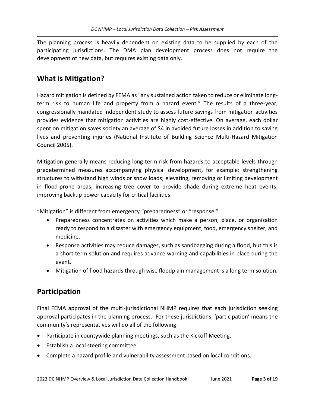The planning process is heavily dependent on existing data to be supplied by each of the participating jurisdictions. The DMA plan development process does not require the development of new data, but requires existing data only.

### **What is Mitigation?**

Hazard mitigation is defined by FEMA as "any sustained action taken to reduce or eliminate longterm risk to human life and property from a hazard event." The results of a three-year, congressionally mandated independent study to assess future savings from mitigation activities provides evidence that mitigation activities are highly cost-effective. On average, each dollar spent on mitigation saves society an average of \$4 in avoided future losses in addition to saving lives and preventing injuries (National Institute of Building Science Multi-Hazard Mitigation Council 2005).

Mitigation generally means reducing long-term risk from hazards to acceptable levels through predetermined measures accompanying physical development, for example: strengthening structures to withstand high winds or snow loads; elevating, removing or limiting development in flood-prone areas; increasing tree cover to provide shade during extreme heat events; improving backup power capacity for critical facilities.

"Mitigation" is different from emergency "preparedness" or "response:"

- Preparedness concentrates on activities which make a person, place, or organization ready to respond to a disaster with emergency equipment, food, emergency shelter, and medicine.
- Response activities may reduce damages, such as sandbagging during a flood, but this is a short term solution and requires advance warning and capabilities in place during the event.
- Mitigation of flood hazards through wise floodplain management is a long term solution.

## **Participation**

Final FEMA approval of the multi-jurisdictional NHMP requires that each jurisdiction seeking approval participates in the planning process. For these jurisdictions, 'participation' means the community's representatives will do all of the following:

- Participate in countywide planning meetings, such as the Kickoff Meeting.
- Establish a local steering committee.
- Complete a hazard profile and vulnerability assessment based on local conditions.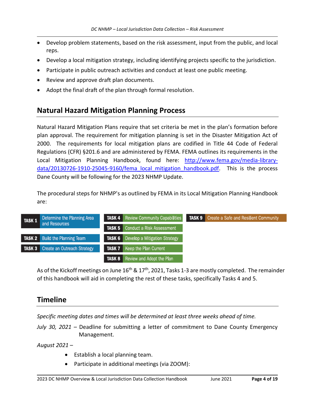- Develop problem statements, based on the risk assessment, input from the public, and local reps.
- Develop a local mitigation strategy, including identifying projects specific to the jurisdiction.
- Participate in public outreach activities and conduct at least one public meeting.
- Review and approve draft plan documents.
- Adopt the final draft of the plan through formal resolution.

# **Natural Hazard Mitigation Planning Process**

Natural Hazard Mitigation Plans require that set criteria be met in the plan's formation before plan approval. The requirement for mitigation planning is set in the Disaster Mitigation Act of 2000. The requirements for local mitigation plans are codified in Title 44 Code of Federal Regulations (CFR) §201.6 and are administered by FEMA. FEMA outlines its requirements in the Local Mitigation Planning Handbook, found here: [http://www.fema.gov/media-library](http://www.fema.gov/media-library-data/20130726-1910-25045-9160/fema_local_mitigation_handbook.pdf)[data/20130726-1910-25045-9160/fema\\_local\\_mitigation\\_handbook.pdf.](http://www.fema.gov/media-library-data/20130726-1910-25045-9160/fema_local_mitigation_handbook.pdf) This is the process Dane County will be following for the 2023 NHMP Update.

The procedural steps for NHMP's as outlined by FEMA in its Local Mitigation Planning Handbook are:

| Determine the Planning Area<br><b>TASK 1</b> | <b>TASK 4</b> Review Community Capabilities | <b>TASK 9</b> Create a Safe and Resilient Community |
|----------------------------------------------|---------------------------------------------|-----------------------------------------------------|
| and Resources                                | <b>TASK 5</b> Conduct a Risk Assessment     |                                                     |
| <b>TASK 2</b> Build the Planning Team        | <b>TASK 6</b> Develop a Mitigation Strategy |                                                     |
| <b>TASK 3</b> Create an Outreach Strategy    | TASK 7 I<br>Keep the Plan Current           |                                                     |
|                                              | <b>TASK 8</b> Review and Adopt the Plan     |                                                     |

As of the Kickoff meetings on June 16<sup>th</sup> & 17<sup>th</sup>, 2021, Tasks 1-3 are mostly completed. The remainder of this handbook will aid in completing the rest of these tasks, specifically Tasks 4 and 5.

# **Timeline**

*Specific meeting dates and times will be determined at least three weeks ahead of time.*

*July 30, 2021* – Deadline for submitting a letter of commitment to Dane County Emergency Management.

*August 2021* –

- Establish a local planning team.
- Participate in additional meetings (via ZOOM):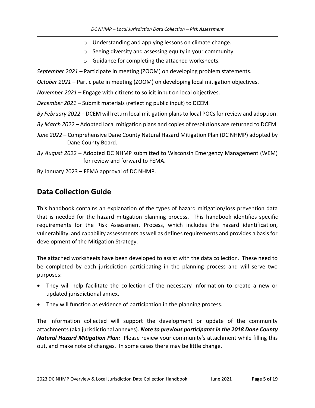- o Understanding and applying lessons on climate change.
- o Seeing diversity and assessing equity in your community.
- o Guidance for completing the attached worksheets.
- *September 2021* Participate in meeting (ZOOM) on developing problem statements.
- *October 2021* Participate in meeting (ZOOM) on developing local mitigation objectives.
- *November 2021* Engage with citizens to solicit input on local objectives.
- *December 2021* Submit materials (reflecting public input) to DCEM.
- *By February 2022* DCEM will return local mitigation plans to local POCs for review and adoption.
- *By March 2022* Adopted local mitigation plans and copies of resolutions are returned to DCEM.
- *June 2022* Comprehensive Dane County Natural Hazard Mitigation Plan (DC NHMP) adopted by Dane County Board.
- *By August 2022* Adopted DC NHMP submitted to Wisconsin Emergency Management (WEM) for review and forward to FEMA.
- By January 2023 FEMA approval of DC NHMP.

### **Data Collection Guide**

This handbook contains an explanation of the types of hazard mitigation/loss prevention data that is needed for the hazard mitigation planning process. This handbook identifies specific requirements for the Risk Assessment Process, which includes the hazard identification, vulnerability, and capability assessments as well as defines requirements and provides a basis for development of the Mitigation Strategy.

The attached worksheets have been developed to assist with the data collection. These need to be completed by each jurisdiction participating in the planning process and will serve two purposes:

- They will help facilitate the collection of the necessary information to create a new or updated jurisdictional annex.
- They will function as evidence of participation in the planning process.

The information collected will support the development or update of the community attachments (aka jurisdictional annexes). *Note to previous participants in the 2018 Dane County Natural Hazard Mitigation Plan:* Please review your community's attachment while filling this out, and make note of changes. In some cases there may be little change.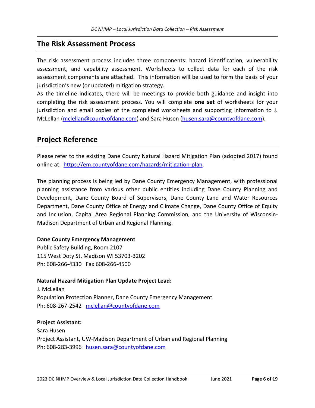### **The Risk Assessment Process**

The risk assessment process includes three components: hazard identification, vulnerability assessment, and capability assessment. Worksheets to collect data for each of the risk assessment components are attached. This information will be used to form the basis of your jurisdiction's new (or updated) mitigation strategy.

As the timeline indicates, there will be meetings to provide both guidance and insight into completing the risk assessment process. You will complete **one set** of worksheets for your jurisdiction and email copies of the completed worksheets and supporting information to J. McLellan [\(mclellan@countyofdane.com\)](mailto:mclellan@countyofdane.com) and Sara Husen [\(husen.sara@countyofdane.com\)](mailto:husen.sara@countyofdane.com).

## **Project Reference**

Please refer to the existing Dane County Natural Hazard Mitigation Plan (adopted 2017) found online at: [https://em.countyofdane.com/hazards/mitigation-plan.](https://em.countyofdane.com/hazards/mitigation-plan)

The planning process is being led by Dane County Emergency Management, with professional planning assistance from various other public entities including Dane County Planning and Development, Dane County Board of Supervisors, Dane County Land and Water Resources Department, Dane County Office of Energy and Climate Change, Dane County Office of Equity and Inclusion, Capital Area Regional Planning Commission, and the University of Wisconsin-Madison Department of Urban and Regional Planning.

#### **Dane County Emergency Management**

Public Safety Building, Room 2107 115 West Doty St, Madison WI 53703-3202 Ph: 608-266-4330 Fax 608-266-4500

#### **Natural Hazard Mitigation Plan Update Project Lead:**

J. McLellan Population Protection Planner, Dane County Emergency Management Ph: 608-267-2542 [mclellan@countyofdane.com](mailto:mclellan@countyofdane.com)

#### **Project Assistant:**

Sara Husen Project Assistant, UW-Madison Department of Urban and Regional Planning Ph: 608-283-3996 [husen.sara@countyofdane.com](mailto:husen.sara@countyofdane.com)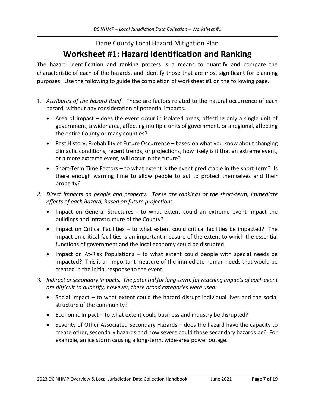# Dane County Local Hazard Mitigation Plan **Worksheet #1: Hazard Identification and Ranking**

The hazard identification and ranking process is a means to quantify and compare the characteristic of each of the hazards, and identify those that are most significant for planning purposes. Use the following to guide the completion of worksheet #1 on the following page.

- 1. *Attributes of the hazard itself*. These are factors related to the natural occurrence of each hazard, without any consideration of potential impacts.
	- Area of Impact does the event occur in isolated areas, affecting only a single unit of government, a wider area, affecting multiple units of government, or a regional, affecting the entire County or many counties?
	- Past History, Probability of Future Occurrence based on what you know about changing climactic conditions, recent trends, or projections, how likely is it that an extreme event, or a more extreme event, will occur in the future?
	- Short-Term Time Factors to what extent is the event predictable in the short term? Is there enough warning time to allow people to act to protect themselves and their property?
- *2. Direct impacts on people and property. These are rankings of the short-term, immediate effects of each hazard, based on future projections.*
	- Impact on General Structures to what extent could an extreme event impact the buildings and infrastructure of the County?
	- Impact on Critical Facilities to what extent could critical facilities be impacted? The impact on critical facilities is an important measure of the extent to which the essential functions of government and the local economy could be disrupted.
	- Impact on At-Risk Populations to what extent could people with special needs be impacted? This is an important measure of the immediate human needs that would be created in the initial response to the event.
- *3. Indirect or secondary impacts. The potential for long-term, far reaching impacts of each event are difficult to quantify, however, these broad categories were used:*
	- Social Impact to what extent could the hazard disrupt individual lives and the social structure of the community?
	- Economic Impact to what extent could business and industry be disrupted?
	- Severity of Other Associated Secondary Hazards does the hazard have the capacity to create other, secondary hazards and how severe could those secondary hazards be? For example, an ice storm causing a long-term, wide-area power outage.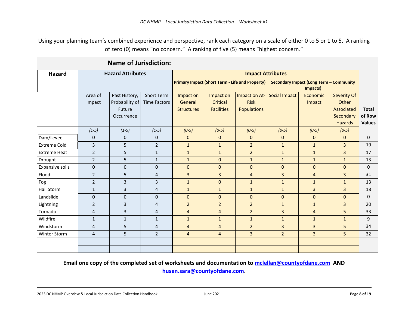Using your planning team's combined experience and perspective, rank each category on a scale of either 0 to 5 or 1 to 5. A ranking of zero (0) means "no concern." A ranking of five (5) means "highest concern."

| <b>Name of Jurisdiction:</b> |                          |                |                          |                                                        |                   |                                                     |                      |                |                |               |
|------------------------------|--------------------------|----------------|--------------------------|--------------------------------------------------------|-------------------|-----------------------------------------------------|----------------------|----------------|----------------|---------------|
| <b>Hazard</b>                | <b>Hazard Attributes</b> |                | <b>Impact Attributes</b> |                                                        |                   |                                                     |                      |                |                |               |
|                              |                          |                |                          | <b>Primary Impact (Short Term - Life and Property)</b> |                   | Secondary Impact (Long Term - Community<br>Impacts) |                      |                |                |               |
|                              | Area of                  | Past History,  | <b>Short Term</b>        | Impact on                                              | Impact on         | Impact on At-                                       | <b>Social Impact</b> | Economic       | Severity Of    |               |
|                              | Impact                   | Probability of | <b>Time Factors</b>      | General                                                | Critical          | <b>Risk</b>                                         |                      | Impact         | Other          |               |
|                              |                          | Future         |                          | <b>Structures</b>                                      | <b>Facilities</b> | <b>Populations</b>                                  |                      |                | Associated     | <b>Total</b>  |
|                              |                          | Occurrence     |                          |                                                        |                   |                                                     |                      |                | Secondary      | of Row        |
|                              |                          |                |                          |                                                        |                   |                                                     |                      |                | <b>Hazards</b> | <b>Values</b> |
|                              | $(1-5)$                  | $(1-5)$        | $(1-5)$                  | $(0-5)$                                                | $(0-5)$           | $(0-5)$                                             | $(0-5)$              | $(0-5)$        | $(0-5)$        |               |
| Dam/Levee                    | $\mathbf 0$              | $\mathbf{0}$   | $\mathbf 0$              | $\mathbf 0$                                            | $\mathbf{0}$      | $\mathbf 0$                                         | $\mathbf{0}$         | $\Omega$       | $\mathbf{0}$   | $\Omega$      |
| <b>Extreme Cold</b>          | $\overline{3}$           | 5              | $\overline{2}$           | $\mathbf{1}$                                           | $\mathbf{1}$      | $\overline{2}$                                      | $\mathbf{1}$         | $\mathbf{1}$   | 3              | 19            |
| <b>Extreme Heat</b>          | $\overline{2}$           | 5              | $\mathbf{1}$             | $\mathbf{1}$                                           | $\mathbf{1}$      | $\overline{2}$                                      | $\mathbf{1}$         | $\mathbf{1}$   | $\overline{3}$ | 17            |
| Drought                      | $\overline{2}$           | 5              | $1\,$                    | $\mathbf{1}$                                           | 0                 | $\mathbf{1}$                                        | $\mathbf{1}$         | $\mathbf{1}$   | $\mathbf{1}$   | 13            |
| <b>Expansive soils</b>       | $\pmb{0}$                | 0              | $\mathbf 0$              | $\mathbf 0$                                            | 0                 | $\mathbf 0$                                         | $\mathbf{0}$         | $\mathbf{0}$   | $\mathbf 0$    | $\Omega$      |
| Flood                        | $\overline{2}$           | 5              | $\overline{4}$           | 3                                                      | $\overline{3}$    | $\overline{4}$                                      | $\overline{3}$       | $\overline{4}$ | 3              | 31            |
| Fog                          | $\overline{2}$           | $\overline{3}$ | 3                        | $\mathbf{1}$                                           | $\mathbf 0$       | $\mathbf{1}$                                        | $\mathbf{1}$         | $\mathbf{1}$   | $\mathbf{1}$   | 13            |
| <b>Hail Storm</b>            | $\mathbf{1}$             | 3              | $\overline{4}$           | $\mathbf{1}$                                           | $\mathbf{1}$      | $\mathbf{1}$                                        | $\mathbf{1}$         | $\overline{3}$ | $\overline{3}$ | 18            |
| Landslide                    | $\mathbf 0$              | $\Omega$       | $\mathbf 0$              | $\Omega$                                               | $\mathbf{0}$      | $\Omega$                                            | $\Omega$             | $\Omega$       | $\Omega$       | $\Omega$      |
| Lightning                    | $\overline{2}$           | 3              | $\overline{4}$           | $\overline{2}$                                         | $\overline{2}$    | $\overline{2}$                                      | $\mathbf{1}$         | $\mathbf{1}$   | 3              | 20            |
| Tornado                      | $\overline{4}$           | 3              | $\overline{4}$           | $\overline{4}$                                         | $\overline{4}$    | $\overline{2}$                                      | $\overline{3}$       | $\overline{4}$ | 5              | 33            |
| Wildfire                     | $\mathbf{1}$             | $\mathbf{1}$   | $1\,$                    | $\mathbf{1}$                                           | $\mathbf{1}$      | $\mathbf{1}$                                        | $\mathbf{1}$         | $\mathbf{1}$   | $\mathbf{1}$   | 9             |
| Windstorm                    | $\overline{4}$           | 5              | $\overline{4}$           | $\overline{4}$                                         | $\overline{4}$    | $\overline{2}$                                      | $\overline{3}$       | $\overline{3}$ | 5              | 34            |
| Winter Storm                 | 4                        | 5              | $\overline{2}$           | $\overline{4}$                                         | $\overline{4}$    | $\overline{3}$                                      | $\overline{2}$       | $\overline{3}$ | 5              | 32            |
|                              |                          |                |                          |                                                        |                   |                                                     |                      |                |                |               |
|                              |                          |                |                          |                                                        |                   |                                                     |                      |                |                |               |

#### **Email one copy of the completed set of worksheets and documentation to [mclellan@countyofdane.com](mailto:mclellan@countyofdane.com) AND [husen.sara@countyofdane.com.](mailto:husen.sara@countyofdane.com)**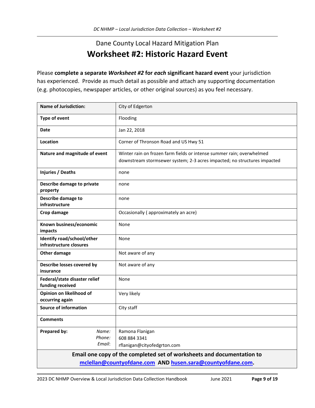# Dane County Local Hazard Mitigation Plan **Worksheet #2: Historic Hazard Event**

Please **complete a separate** *Worksheet #2* **for** *each* **significant hazard event** your jurisdiction has experienced. Provide as much detail as possible and attach any supporting documentation (e.g. photocopies, newspaper articles, or other original sources) as you feel necessary.

| <b>Name of Jurisdiction:</b>                                           | City of Edgerton                                                                                                                                  |  |
|------------------------------------------------------------------------|---------------------------------------------------------------------------------------------------------------------------------------------------|--|
| Type of event                                                          | Flooding                                                                                                                                          |  |
| <b>Date</b>                                                            | Jan 22, 2018                                                                                                                                      |  |
| Location                                                               | Corner of Thronson Road and US Hwy 51                                                                                                             |  |
| Nature and magnitude of event                                          | Winter rain on frozen farm fields or intense summer rain; overwhelmed<br>downstream stormsewer system; 2-3 acres impacted; no structures impacted |  |
| <b>Injuries / Deaths</b>                                               | none                                                                                                                                              |  |
| Describe damage to private<br>property                                 | none                                                                                                                                              |  |
| Describe damage to<br>infrastructure                                   | none                                                                                                                                              |  |
| Crop damage                                                            | Occasionally (approximately an acre)                                                                                                              |  |
| Known business/economic<br>impacts                                     | None                                                                                                                                              |  |
| Identify road/school/other<br>infrastructure closures                  | None                                                                                                                                              |  |
| Other damage                                                           | Not aware of any                                                                                                                                  |  |
| Describe losses covered by<br>insurance                                | Not aware of any                                                                                                                                  |  |
| Federal/state disaster relief<br>funding received                      | None                                                                                                                                              |  |
| Opinion on likelihood of<br>occurring again                            | Very likely                                                                                                                                       |  |
| <b>Source of information</b>                                           | City staff                                                                                                                                        |  |
| <b>Comments</b>                                                        |                                                                                                                                                   |  |
| Prepared by:<br>Name:<br>Phone:<br>Email:                              | Ramona Flanigan<br>608 884 3341<br>rflanigan@cityofedgrton.com                                                                                    |  |
| Email one copy of the completed set of worksheets and documentation to |                                                                                                                                                   |  |
|                                                                        | mclellan@countyofdane.com AND husen.sara@countyofdane.com.                                                                                        |  |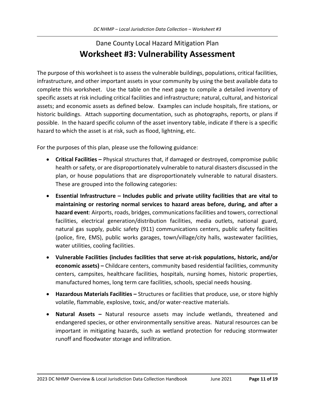# Dane County Local Hazard Mitigation Plan **Worksheet #3: Vulnerability Assessment**

The purpose of this worksheet is to assess the vulnerable buildings, populations, critical facilities, infrastructure, and other important assets in your community by using the best available data to complete this worksheet. Use the table on the next page to compile a detailed inventory of specific assets at risk including critical facilities and infrastructure; natural, cultural, and historical assets; and economic assets as defined below. Examples can include hospitals, fire stations, or historic buildings. Attach supporting documentation, such as photographs, reports, or plans if possible. In the hazard specific column of the asset inventory table, indicate if there is a specific hazard to which the asset is at risk, such as flood, lightning, etc.

For the purposes of this plan, please use the following guidance:

- **Critical Facilities –** Physical structures that, if damaged or destroyed, compromise public health or safety, or are disproportionately vulnerable to natural disasters discussed in the plan, or house populations that are disproportionately vulnerable to natural disasters. These are grouped into the following categories:
- **Essential Infrastructure – Includes public and private utility facilities that are vital to maintaining or restoring normal services to hazard areas before, during, and after a**  hazard event: Airports, roads, bridges, communications facilities and towers, correctional facilities, electrical generation/distribution facilities, media outlets, national guard, natural gas supply, public safety (911) communications centers, public safety facilities (police, fire, EMS), public works garages, town/village/city halls, wastewater facilities, water utilities, cooling facilities.
- **Vulnerable Facilities (includes facilities that serve at-risk populations, historic, and/or economic assets) –** Childcare centers, community based residential facilities, community centers, campsites, healthcare facilities, hospitals, nursing homes, historic properties, manufactured homes, long term care facilities, schools, special needs housing.
- **Hazardous Materials Facilities –** Structures or facilities that produce, use, or store highly volatile, flammable, explosive, toxic, and/or water-reactive materials.
- **Natural Assets –** Natural resource assets may include wetlands, threatened and endangered species, or other environmentally sensitive areas. Natural resources can be important in mitigating hazards, such as wetland protection for reducing stormwater runoff and floodwater storage and infiltration.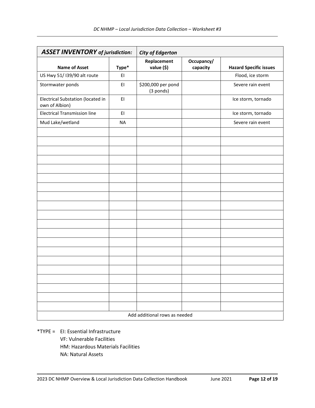| <b>ASSET INVENTORY</b> of jurisdiction:             |           | <b>City of Edgerton</b>         |                        |                               |
|-----------------------------------------------------|-----------|---------------------------------|------------------------|-------------------------------|
| <b>Name of Asset</b>                                | Type*     | Replacement<br>value (\$)       | Occupancy/<br>capacity | <b>Hazard Specific issues</b> |
| US Hwy 51/ I39/90 alt route                         | EI        |                                 |                        | Flood, ice storm              |
| Stormwater ponds                                    | EI        | \$200,000 per pond<br>(3 ponds) |                        | Severe rain event             |
| Electrical Substation (located in<br>own of Albion) | EI        |                                 |                        | Ice storm, tornado            |
| <b>Electrical Transmission line</b>                 | EI        |                                 |                        | Ice storm, tornado            |
| Mud Lake/wetland                                    | <b>NA</b> |                                 |                        | Severe rain event             |
|                                                     |           |                                 |                        |                               |
|                                                     |           |                                 |                        |                               |
|                                                     |           |                                 |                        |                               |
|                                                     |           |                                 |                        |                               |
|                                                     |           |                                 |                        |                               |
|                                                     |           |                                 |                        |                               |
|                                                     |           |                                 |                        |                               |
|                                                     |           |                                 |                        |                               |
|                                                     |           |                                 |                        |                               |
|                                                     |           |                                 |                        |                               |
|                                                     |           |                                 |                        |                               |
|                                                     |           |                                 |                        |                               |
|                                                     |           |                                 |                        |                               |
|                                                     |           |                                 |                        |                               |
|                                                     |           |                                 |                        |                               |
|                                                     |           |                                 |                        |                               |
|                                                     |           |                                 |                        |                               |
|                                                     |           |                                 |                        |                               |
|                                                     |           |                                 |                        |                               |
|                                                     |           |                                 |                        |                               |
| Add additional rows as needed                       |           |                                 |                        |                               |

\*TYPE = EI: Essential Infrastructure VF: Vulnerable Facilities HM: Hazardous Materials Facilities NA: Natural Assets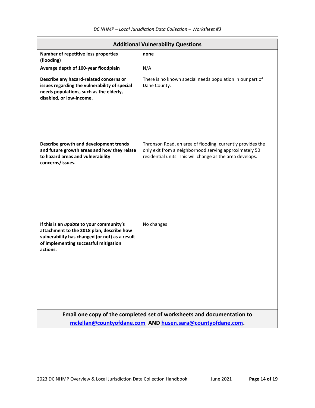| <b>Additional Vulnerability Questions</b>                                                                                                                                                           |                                                                                                                                                                                   |  |  |
|-----------------------------------------------------------------------------------------------------------------------------------------------------------------------------------------------------|-----------------------------------------------------------------------------------------------------------------------------------------------------------------------------------|--|--|
| Number of repetitive loss properties<br>(flooding)                                                                                                                                                  | none                                                                                                                                                                              |  |  |
| Average depth of 100-year floodplain                                                                                                                                                                | N/A                                                                                                                                                                               |  |  |
| Describe any hazard-related concerns or<br>issues regarding the vulnerability of special<br>needs populations, such as the elderly,<br>disabled, or low-income.                                     | There is no known special needs population in our part of<br>Dane County.                                                                                                         |  |  |
| Describe growth and development trends<br>and future growth areas and how they relate<br>to hazard areas and vulnerability<br>concerns/issues.                                                      | Thronson Road, an area of flooding, currently provides the<br>only exit from a neighborhood serving approximately 50<br>residential units. This will change as the area develops. |  |  |
| If this is an <i>update</i> to your community's<br>attachment to the 2018 plan, describe how<br>vulnerability has changed (or not) as a result<br>of implementing successful mitigation<br>actions. | No changes                                                                                                                                                                        |  |  |
|                                                                                                                                                                                                     | Email one copy of the completed set of worksheets and documentation to                                                                                                            |  |  |
| mclellan@countyofdane.com AND husen.sara@countyofdane.com.                                                                                                                                          |                                                                                                                                                                                   |  |  |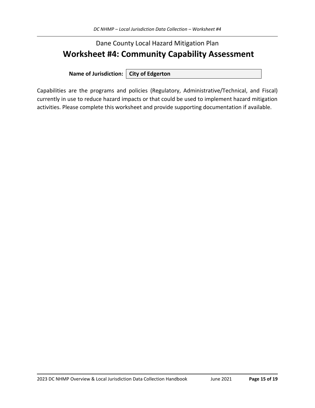# Dane County Local Hazard Mitigation Plan **Worksheet #4: Community Capability Assessment**

**Name of Jurisdiction: City of Edgerton**

Capabilities are the programs and policies (Regulatory, Administrative/Technical, and Fiscal) currently in use to reduce hazard impacts or that could be used to implement hazard mitigation activities. Please complete this worksheet and provide supporting documentation if available.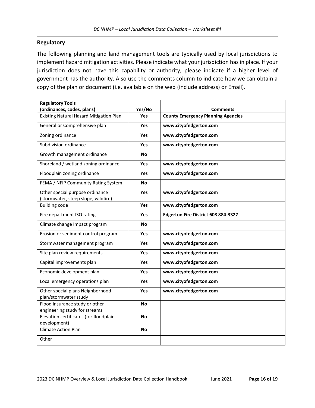#### **Regulatory**

The following planning and land management tools are typically used by local jurisdictions to implement hazard mitigation activities. Please indicate what your jurisdiction has in place. If your jurisdiction does not have this capability or authority, please indicate if a higher level of government has the authority. Also use the comments column to indicate how we can obtain a copy of the plan or document (i.e. available on the web (include address) or Email).

| <b>Regulatory Tools</b>                        |           |                                           |
|------------------------------------------------|-----------|-------------------------------------------|
| (ordinances, codes, plans)                     | Yes/No    | <b>Comments</b>                           |
| <b>Existing Natural Hazard Mitigation Plan</b> | Yes       | <b>County Emergency Planning Agencies</b> |
| General or Comprehensive plan                  | Yes       | www.cityofedgerton.com                    |
| Zoning ordinance                               | Yes       | www.cityofedgerton.com                    |
| Subdivision ordinance                          | Yes       | www.cityofedgerton.com                    |
| Growth management ordinance                    | <b>No</b> |                                           |
| Shoreland / wetland zoning ordinance           | Yes       | www.cityofedgerton.com                    |
| Floodplain zoning ordinance                    | Yes       | www.cityofedgerton.com                    |
| FEMA / NFIP Community Rating System            | <b>No</b> |                                           |
| Other special purpose ordinance                | Yes       | www.cityofedgerton.com                    |
| (stormwater, steep slope, wildfire)            |           |                                           |
| <b>Building code</b>                           | Yes       | www.cityofedgerton.com                    |
| Fire department ISO rating                     | Yes       | Edgerton Fire District 608 884-3327       |
| Climate change Impact program                  | <b>No</b> |                                           |
| Erosion or sediment control program            | Yes       | www.cityofedgerton.com                    |
| Stormwater management program                  | Yes       | www.cityofedgerton.com                    |
| Site plan review requirements                  | Yes       | www.cityofedgerton.com                    |
| Capital improvements plan                      | Yes       | www.cityofedgerton.com                    |
| Economic development plan                      | Yes       | www.cityofedgerton.com                    |
| Local emergency operations plan                | Yes       | www.cityofedgerton.com                    |
| Other special plans Neighborhood               | Yes       | www.cityofedgerton.com                    |
| plan/stormwater study                          |           |                                           |
| Flood insurance study or other                 | <b>No</b> |                                           |
| engineering study for streams                  |           |                                           |
| Elevation certificates (for floodplain         | <b>No</b> |                                           |
| development)                                   |           |                                           |
| <b>Climate Action Plan</b>                     | <b>No</b> |                                           |
| Other                                          |           |                                           |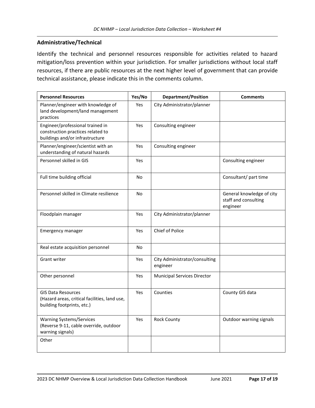#### **Administrative/Technical**

Identify the technical and personnel resources responsible for activities related to hazard mitigation/loss prevention within your jurisdiction. For smaller jurisdictions without local staff resources, if there are public resources at the next higher level of government that can provide technical assistance, please indicate this in the comments column.

| <b>Personnel Resources</b>                                                                               | Yes/No     | <b>Department/Position</b>                | <b>Comments</b>                                               |
|----------------------------------------------------------------------------------------------------------|------------|-------------------------------------------|---------------------------------------------------------------|
| Planner/engineer with knowledge of<br>land development/land management<br>practices                      | Yes        | City Administrator/planner                |                                                               |
| Engineer/professional trained in<br>construction practices related to<br>buildings and/or infrastructure | Yes        | Consulting engineer                       |                                                               |
| Planner/engineer/scientist with an<br>understanding of natural hazards                                   | Yes        | Consulting engineer                       |                                                               |
| Personnel skilled in GIS                                                                                 | Yes        |                                           | Consulting engineer                                           |
| Full time building official                                                                              | <b>No</b>  |                                           | Consultant/ part time                                         |
| Personnel skilled in Climate resilience                                                                  | <b>No</b>  |                                           | General knowledge of city<br>staff and consulting<br>engineer |
| Floodplain manager                                                                                       | Yes        | City Administrator/planner                |                                                               |
| Emergency manager                                                                                        | Yes        | Chief of Police                           |                                                               |
| Real estate acquisition personnel                                                                        | No         |                                           |                                                               |
| Grant writer                                                                                             | Yes        | City Administrator/consulting<br>engineer |                                                               |
| Other personnel                                                                                          | Yes        | Municipal Services Director               |                                                               |
| <b>GIS Data Resources</b><br>(Hazard areas, critical facilities, land use,<br>building footprints, etc.) | <b>Yes</b> | Counties                                  | County GIS data                                               |
| <b>Warning Systems/Services</b><br>(Reverse 9-11, cable override, outdoor<br>warning signals)            | Yes        | <b>Rock County</b>                        | Outdoor warning signals                                       |
| Other                                                                                                    |            |                                           |                                                               |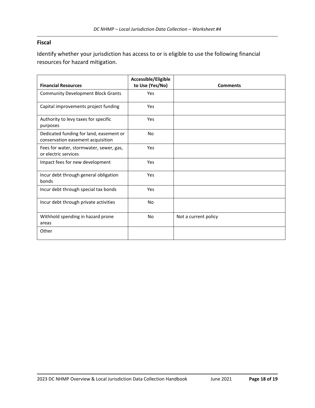#### **Fiscal**

Identify whether your jurisdiction has access to or is eligible to use the following financial resources for hazard mitigation.

|                                                                              | Accessible/Eligible |                      |
|------------------------------------------------------------------------------|---------------------|----------------------|
| <b>Financial Resources</b>                                                   | to Use (Yes/No)     | <b>Comments</b>      |
| <b>Community Development Block Grants</b>                                    | Yes                 |                      |
| Capital improvements project funding                                         | Yes                 |                      |
| Authority to levy taxes for specific<br>purposes                             | Yes                 |                      |
| Dedicated funding for land, easement or<br>conservation easement acquisition | <b>No</b>           |                      |
| Fees for water, stormwater, sewer, gas,<br>or electric services              | Yes                 |                      |
| Impact fees for new development                                              | Yes                 |                      |
| Incur debt through general obligation<br>bonds                               | Yes                 |                      |
| Incur debt through special tax bonds                                         | Yes                 |                      |
| Incur debt through private activities                                        | <b>No</b>           |                      |
| Withhold spending in hazard prone<br>areas                                   | <b>No</b>           | Not a current policy |
| Other                                                                        |                     |                      |